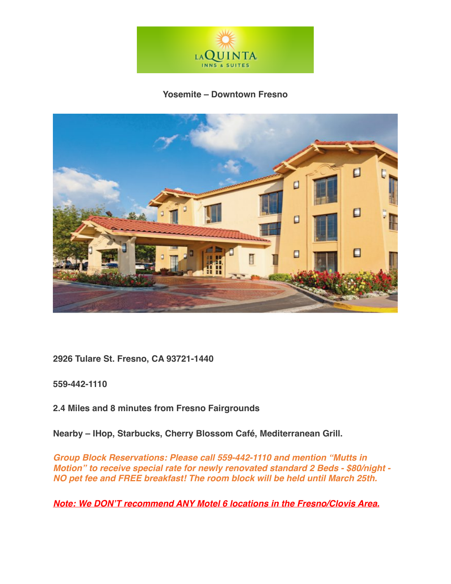

## **Yosemite – Downtown Fresno**



**2926 Tulare St. Fresno, CA 93721-1440**

**559-442-1110**

**2.4 Miles and 8 minutes from Fresno Fairgrounds**

**Nearby – IHop, Starbucks, Cherry Blossom Café, Mediterranean Grill.**

*Group Block Reservations: Please call 559-442-1110 and mention "Mutts in Motion" to receive special rate for newly renovated standard 2 Beds - \$80/night - NO pet fee and FREE breakfast! The room block will be held until March 25th.* 

*Note: We DON'T recommend ANY Motel 6 locations in the Fresno/Clovis Area.*